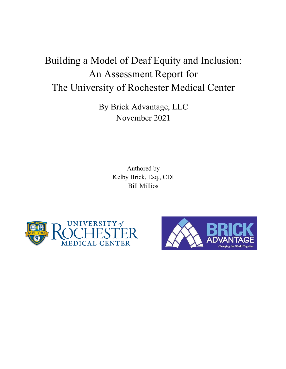# Building a Model of Deaf Equity and Inclusion: An Assessment Report for The University of Rochester Medical Center

By Brick Advantage, LLC November 2021

> Authored by Kelby Brick, Esq., CDI Bill Millios



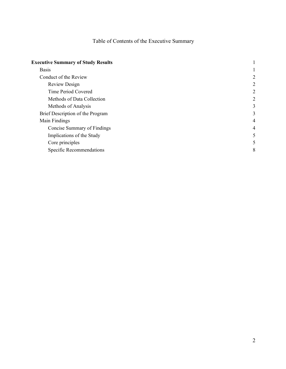# Table of Contents of the Executive Summary

| <b>Executive Summary of Study Results</b> |                |
|-------------------------------------------|----------------|
| <b>Basis</b>                              |                |
| Conduct of the Review                     | 2              |
| Review Design                             | 2              |
| Time Period Covered                       | $\overline{2}$ |
| Methods of Data Collection                | 2              |
| Methods of Analysis                       | 3              |
| Brief Description of the Program          | 3              |
| Main Findings                             | 4              |
| Concise Summary of Findings               | 4              |
| Implications of the Study                 | 5              |
| Core principles                           | 5              |
| Specific Recommendations                  | 8              |
|                                           |                |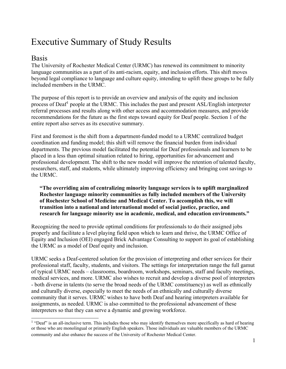# <span id="page-2-0"></span>Executive Summary of Study Results

# <span id="page-2-1"></span>Basis

The University of Rochester Medical Center (URMC) has renewed its commitment to minority language communities as a part of its anti-racism, equity, and inclusion efforts. This shift moves beyond legal compliance to language and culture equity, intending to uplift these groups to be fully included members in the URMC.

The purpose of this report is to provide an overview and analysis of the equity and inclusion process of Deaf<sup>[1](#page-2-2)</sup> people at the URMC. This includes the past and present ASL/English interpreter referral processes and results along with other access and accommodation measures, and provide recommendations for the future as the first steps toward equity for Deaf people. Section 1 of the entire report also serves as its executive summary.

First and foremost is the shift from a department-funded model to a URMC centralized budget coordination and funding model; this shift will remove the financial burden from individual departments. The previous model facilitated the potential for Deaf professionals and learners to be placed in a less than optimal situation related to hiring, opportunities for advancement and professional development. The shift to the new model will improve the retention of talented faculty, researchers, staff, and students, while ultimately improving efficiency and bringing cost savings to the URMC.

#### **"The overriding aim of centralizing minority language services is to uplift marginalized Rochester language minority communities as fully included members of the University of Rochester School of Medicine and Medical Center. To accomplish this, we will transition into a national and international model of social justice, practice, and research for language minority use in academic, medical, and education environments."**

Recognizing the need to provide optimal conditions for professionals to do their assigned jobs properly and facilitate a level playing field upon which to learn and thrive, the URMC Office of Equity and Inclusion (OEI) engaged Brick Advantage Consulting to support its goal of establishing the URMC as a model of Deaf equity and inclusion.

URMC seeks a Deaf-centered solution for the provision of interpreting and other services for their professional staff, faculty, students, and visitors. The settings for interpretation range the full gamut of typical URMC needs – classrooms, boardroom, workshops, seminars, staff and faculty meetings, medical services, and more. URMC also wishes to recruit and develop a diverse pool of interpreters - both diverse in talents (to serve the broad needs of the URMC constituency) as well as ethnically and culturally diverse, especially to meet the needs of an ethnically and culturally diverse community that it serves. URMC wishes to have both Deaf and hearing interpreters available for assignments, as needed. URMC is also committed to the professional advancement of these interpreters so that they can serve a dynamic and growing workforce.

<span id="page-2-2"></span><sup>&</sup>lt;sup>1</sup> "Deaf" is an all-inclusive term. This includes those who may identify themselves more specifically as hard of hearing or those who are monolingual or primarily English speakers. Those individuals are valuable members of the URMC community and also enhance the success of the University of Rochester Medical Center.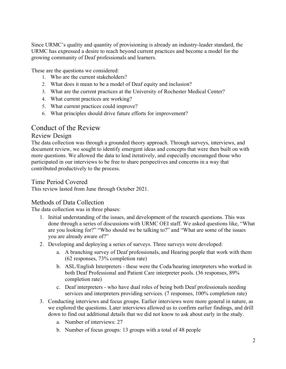Since URMC's quality and quantity of provisioning is already an industry-leader standard, the URMC has expressed a desire to reach beyond current practices and become a model for the growing community of Deaf professionals and learners.

These are the questions we considered:

- 1. Who are the current stakeholders?
- 2. What does it mean to be a model of Deaf equity and inclusion?
- 3. What are the current practices at the University of Rochester Medical Center?
- 4. What current practices are working?
- 5. What current practices could improve?
- 6. What principles should drive future efforts for improvement?

# <span id="page-3-0"></span>Conduct of the Review

#### <span id="page-3-1"></span>Review Design

The data collection was through a grounded theory approach. Through surveys, interviews, and document review, we sought to identify emergent ideas and concepts that were then built on with more questions. We allowed the data to lead iteratively, and especially encouraged those who participated in our interviews to be free to share perspectives and concerns in a way that contributed productively to the process.

# <span id="page-3-2"></span>Time Period Covered

This review lasted from June through October 2021.

# <span id="page-3-3"></span>Methods of Data Collection

The data collection was in three phases:

- 1. Initial understanding of the issues, and development of the research questions. This was done through a series of discussions with URMC OEI staff. We asked questions like, "What are you looking for?" "Who should we be talking to?" and "What are some of the issues you are already aware of?"
- 2. Developing and deploying a series of surveys. Three surveys were developed:
	- a. A branching survey of Deaf professionals, and Hearing people that work with them (62 responses, 73% completion rate)
	- b. ASL/English Interpreters these were the Coda/hearing interpreters who worked in both Deaf Professional and Patient Care interpreter pools. (36 responses, 89% completion rate)
	- c. Deaf interpreters who have dual roles of being both Deaf professionals needing services and interpreters providing services. (7 responses, 100% completion rate)
- 3. Conducting interviews and focus groups. Earlier interviews were more general in nature, as we explored the questions. Later interviews allowed us to confirm earlier findings, and drill down to find out additional details that we did not know to ask about early in the study.
	- a. Number of interviews: 27
	- b. Number of focus groups: 13 groups with a total of 48 people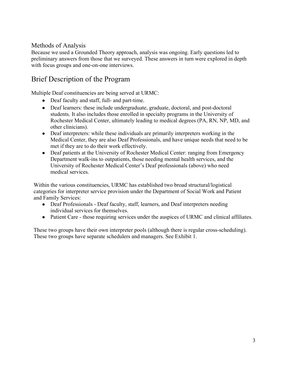# <span id="page-4-0"></span>Methods of Analysis

Because we used a Grounded Theory approach, analysis was ongoing. Early questions led to preliminary answers from those that we surveyed. These answers in turn were explored in depth with focus groups and one-on-one interviews.

# <span id="page-4-1"></span>Brief Description of the Program

Multiple Deaf constituencies are being served at URMC:

- Deaf faculty and staff, full- and part-time.
- Deaf learners: these include undergraduate, graduate, doctoral, and post-doctoral students. It also includes those enrolled in specialty programs in the University of Rochester Medical Center, ultimately leading to medical degrees (PA, RN, NP, MD, and other clinicians).
- Deaf interpreters: while these individuals are primarily interpreters working in the Medical Center, they are also Deaf Professionals, and have unique needs that need to be met if they are to do their work effectively.
- Deaf patients at the University of Rochester Medical Center: ranging from Emergency Department walk-ins to outpatients, those needing mental health services, and the University of Rochester Medical Center's Deaf professionals (above) who need medical services.

Within the various constituencies, URMC has established two broad structural/logistical categories for interpreter service provision under the Department of Social Work and Patient and Family Services:

- Deaf Professionals Deaf faculty, staff, learners, and Deaf interpreters needing individual services for themselves.
- Patient Care those requiring services under the auspices of URMC and clinical affiliates.

These two groups have their own interpreter pools (although there is regular cross-scheduling). These two groups have separate schedulers and managers. See Exhibit 1.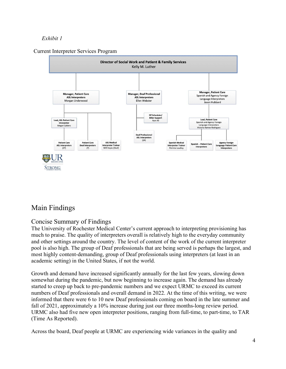# *Exhibit 1*





# <span id="page-5-0"></span>Main Findings

# <span id="page-5-1"></span>Concise Summary of Findings

The University of Rochester Medical Center's current approach to interpreting provisioning has much to praise. The quality of interpreters overall is relatively high to the everyday community and other settings around the country. The level of content of the work of the current interpreter pool is also high. The group of Deaf professionals that are being served is perhaps the largest, and most highly content-demanding, group of Deaf professionals using interpreters (at least in an academic setting) in the United States, if not the world.

Growth and demand have increased significantly annually for the last few years, slowing down somewhat during the pandemic, but now beginning to increase again. The demand has already started to creep up back to pre-pandemic numbers and we expect URMC to exceed its current numbers of Deaf professionals and overall demand in 2022. At the time of this writing, we were informed that there were 6 to 10 new Deaf professionals coming on board in the late summer and fall of 2021, approximately a 10% increase during just our three months-long review period. URMC also had five new open interpreter positions, ranging from full-time, to part-time, to TAR (Time As Reported).

Across the board, Deaf people at URMC are experiencing wide variances in the quality and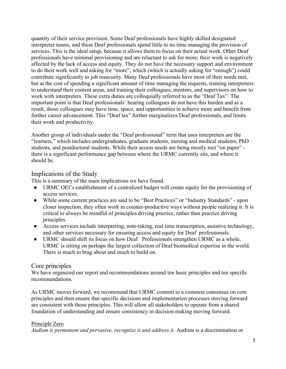quantity of their service provision. Some Deaf professionals have highly skilled designated interpreter teams, and these Deaf professionals spend little to no time managing the provision of services. This is the ideal setup, because it allows them to focus on their actual work. Other Deaf professionals have minimal provisioning and are reluctant to ask for more; their work is negatively affected by the lack of access and equity. They do not have the necessary support and environment to do their work well and asking for "more", which (which is actually asking for "enough") could contribute significantly to job insecurity. Many Deaf professionals have most of their needs met, but at the cost of spending a significant amount of time managing the requests, training interpreters to understand their content areas, and training their colleagues, mentors, and supervisors on how to work with interpreters. These extra duties are colloquially referred to as the "Deaf Tax". The important point is that Deaf professionals' hearing colleagues do not have this burden and as a result, those colleagues may have time, space, and opportunities to achieve more and benefit from further career advancement. This "Deaf tax" further marginalizes Deaf professionals, and limits their work and productivity.

Another group of individuals under the "Deaf professional" term that uses interpreters are the "learners," which includes undergraduates, graduate students, nursing and medical students, PhD students, and postdoctoral students. While their access needs are being mostly met "on paper" there is a significant performance gap between where the URMC currently sits, and where it should be.

# <span id="page-6-0"></span>Implications of the Study

This is a summary of the main implications we have found.

- URMC OEI's establishment of a centralized budget will create equity for the provisioning of access services.
- While some current practices are said to be "Best Practices" or "Industry Standards" upon closer inspection, they often work in counter-productive ways without people realizing it. It is critical to always be mindful of principles driving practice, rather than practice driving principles.
- Access services include interpreting, note-taking, real time transcription, assistive technology, and other services necessary for ensuring access and equity for Deaf professionals.
- URMC should shift its focus on how Deaf Professionals strengthen URMC as a whole. URMC is sitting on perhaps the largest collection of Deaf biomedical expertise in the world. There is much to brag about and much to build on.

# <span id="page-6-1"></span>Core principles

We have organized our report and recommendations around ten basic principles and ten specific recommendations.

As URMC moves forward, we recommend that URMC commit to a common consensus on core principles and then ensure that specific decisions and implementation processes moving forward are consistent with those principles. This will allow all stakeholders to operate from a shared foundation of understanding and ensure consistency in decision making moving forward.

# Principle Zero

*Audism is permanent and pervasive, recognize it and address it.* Audism is a discrimination or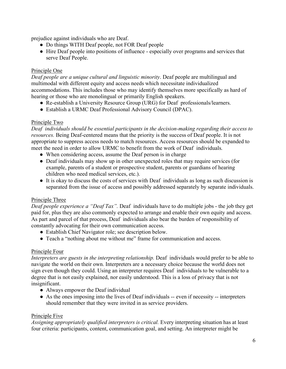prejudice against individuals who are Deaf.

- Do things WITH Deaf people, not FOR Deaf people
- Hire Deaf people into positions of influence especially over programs and services that serve Deaf People.

### Principle One

*Deaf people are a unique cultural and linguistic minority*. Deaf people are multilingual and multimodal with different equity and access needs which necessitate individualized accommodations. This includes those who may identify themselves more specifically as hard of hearing or those who are monolingual or primarily English speakers.

- Re-establish a University Resource Group (URG) for Deaf professionals/learners.
- Establish a URMC Deaf Professional Advisory Council (DPAC).

#### Principle Two

*Deaf individuals should be essential participants in the decision-making regarding their access to resources.* Being Deaf-centered means that the priority is the success of Deaf people. It is not appropriate to suppress access needs to match resources. Access resources should be expanded to meet the need in order to allow URMC to benefit from the work of Deaf individuals.

- When considering access, assume the Deaf person is in charge
- Deaf individuals may show up in other unexpected roles that may require services (for example, parents of a student or prospective student, parents or guardians of hearing children who need medical services, etc.).
- It is okay to discuss the costs of services with Deaf individuals as long as such discussion is separated from the issue of access and possibly addressed separately by separate individuals.

#### Principle Three

*Deaf people experience a "Deaf Tax".* Deaf individuals have to do multiple jobs - the job they get paid for, plus they are also commonly expected to arrange and enable their own equity and access. As part and parcel of that process, Deaf individuals also bear the burden of responsibility of constantly advocating for their own communication access.

- Establish Chief Navigator role; see description below.
- Teach a "nothing about me without me" frame for communication and access.

# Principle Four

*Interpreters are guests in the interpreting relationship.* Deaf individuals would prefer to be able to navigate the world on their own. Interpreters are a necessary choice because the world does not sign even though they could. Using an interpreter requires Deaf individuals to be vulnerable to a degree that is not easily explained, nor easily understood. This is a loss of privacy that is not insignificant.

- Always empower the Deaf individual
- As the ones imposing into the lives of Deaf individuals -- even if necessity -- interpreters should remember that they were invited in as service providers.

# Principle Five

*Assigning appropriately qualified interpreters is critical.* Every interpreting situation has at least four criteria: participants, content, communication goal, and setting. An interpreter might be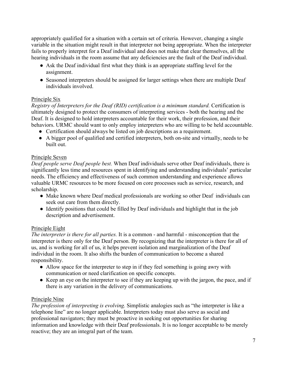appropriately qualified for a situation with a certain set of criteria. However, changing a single variable in the situation might result in that interpreter not being appropriate. When the interpreter fails to properly interpret for a Deaf individual and does not make that clear themselves, all the hearing individuals in the room assume that any deficiencies are the fault of the Deaf individual.

- Ask the Deaf individual first what they think is an appropriate staffing level for the assignment.
- Seasoned interpreters should be assigned for larger settings when there are multiple Deaf individuals involved.

#### Principle Six

*Registry of Interpreters for the Deaf (RID) certification is a minimum standard.* Certification is ultimately designed to protect the consumers of interpreting services - both the hearing and the Deaf. It is designed to hold interpreters accountable for their work, their profession, and their behaviors. URMC should want to only employ interpreters who are willing to be held accountable.

- Certification should always be listed on job descriptions as a requirement.
- A bigger pool of qualified and certified interpreters, both on-site and virtually, needs to be built out.

#### Principle Seven

*Deaf people serve Deaf people best.* When Deaf individuals serve other Deaf individuals, there is significantly less time and resources spent in identifying and understanding individuals' particular needs. The efficiency and effectiveness of such common understanding and experience allows valuable URMC resources to be more focused on core processes such as service, research, and scholarship.

- Make known where Deaf medical professionals are working so other Deaf individuals can seek out care from them directly.
- Identify positions that could be filled by Deaf individuals and highlight that in the job description and advertisement.

#### Principle Eight

*The interpreter is there for all parties.* It is a common - and harmful - misconception that the interpreter is there only for the Deaf person. By recognizing that the interpreter is there for all of us, and is working for all of us, it helps prevent isolation and marginalization of the Deaf individual in the room. It also shifts the burden of communication to become a shared responsibility.

- Allow space for the interpreter to step in if they feel something is going awry with communication or need clarification on specific concepts.
- Keep an eye on the interpreter to see if they are keeping up with the jargon, the pace, and if there is any variation in the delivery of communications.

# Principle Nine

*The profession of interpreting is evolving.* Simplistic analogies such as "the interpreter is like a telephone line" are no longer applicable. Interpreters today must also serve as social and professional navigators; they must be proactive in seeking out opportunities for sharing information and knowledge with their Deaf professionals. It is no longer acceptable to be merely reactive; they are an integral part of the team.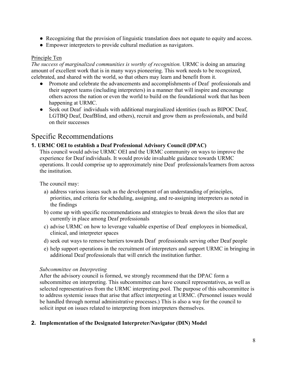- Recognizing that the provision of linguistic translation does not equate to equity and access.
- Empower interpreters to provide cultural mediation as navigators.

#### Principle Ten

*The success of marginalized communities is worthy of recognition.* URMC is doing an amazing amount of excellent work that is in many ways pioneering. This work needs to be recognized, celebrated, and shared with the world, so that others may learn and benefit from it.

- Promote and celebrate the advancements and accomplishments of Deaf professionals and their support teams (including interpreters) in a manner that will inspire and encourage others across the nation or even the world to build on the foundational work that has been happening at URMC.
- Seek out Deaf individuals with additional marginalized identities (such as BIPOC Deaf, LGTBQ Deaf, DeafBlind, and others), recruit and grow them as professionals, and build on their successes

# <span id="page-9-0"></span>Specific Recommendations

# **1. URMC OEI to establish a Deaf Professional Advisory Council (DPAC)**

This council would advise URMC OEI and the URMC community on ways to improve the experience for Deaf individuals. It would provide invaluable guidance towards URMC operations. It could comprise up to approximately nine Deaf professionals/learners from across the institution.

The council may:

- a) address various issues such as the development of an understanding of principles, priorities, and criteria for scheduling, assigning, and re-assigning interpreters as noted in the findings
- b) come up with specific recommendations and strategies to break down the silos that are currently in place among Deaf professionals
- c) advise URMC on how to leverage valuable expertise of Deaf employees in biomedical, clinical, and interpreter spaces
- d) seek out ways to remove barriers towards Deaf professionals serving other Deaf people
- e) help support operations in the recruitment of interpreters and support URMC in bringing in additional Deaf professionals that will enrich the institution further.

# *Subcommittee on Interpreting*

After the advisory council is formed, we strongly recommend that the DPAC form a subcommittee on interpreting. This subcommittee can have council representatives, as well as selected representatives from the URMC interpreting pool. The purpose of this subcommittee is to address systemic issues that arise that affect interpreting at URMC. (Personnel issues would be handled through normal administrative processes.) This is also a way for the council to solicit input on issues related to interpreting from interpreters themselves.

# **2. Implementation of the Designated Interpreter/Navigator (DIN) Model**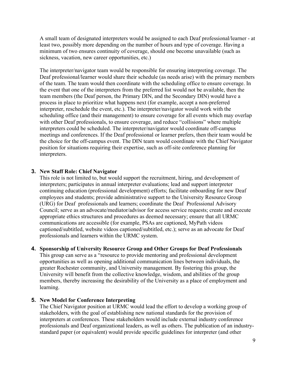A small team of designated interpreters would be assigned to each Deaf professional/learner - at least two, possibly more depending on the number of hours and type of coverage. Having a minimum of two ensures continuity of coverage, should one become unavailable (such as sickness, vacation, new career opportunities, etc.)

The interpreter/navigator team would be responsible for ensuring interpreting coverage. The Deaf professional/learner would share their schedule (as needs arise) with the primary members of the team. The team would then coordinate with the scheduling office to ensure coverage. In the event that one of the interpreters from the preferred list would not be available, then the team members (the Deaf person, the Primary DIN, and the Secondary DIN) would have a process in place to prioritize what happens next (for example, accept a non-preferred interpreter, reschedule the event, etc.). The interpreter/navigator would work with the scheduling office (and their management) to ensure coverage for all events which may overlap with other Deaf professionals, to ensure coverage, and reduce "collisions" where multiple interpreters could be scheduled. The interpreter/navigator would coordinate off-campus meetings and conferences. If the Deaf professional or learner prefers, then their team would be the choice for the off-campus event. The DIN team would coordinate with the Chief Navigator position for situations requiring their expertise, such as off-site conference planning for interpreters.

#### **3. New Staff Role: Chief Navigator**

This role is not limited to, but would support the recruitment, hiring, and development of interpreters; participates in annual interpreter evaluations; lead and support interpreter continuing education (professional development) efforts; facilitate onboarding for new Deaf employees and students; provide administrative support to the University Resource Group (URG) for Deaf professionals and learners; coordinate the Deaf Professional Advisory Council; serve as an advocate/mediator/advisor for access service requests; create and execute appropriate ethics structures and procedures as deemed necessary; ensure that all URMC communications are accessible (for example, PSAs are captioned, MyPath videos captioned/subtitled, website videos captioned/subtitled, etc.); serve as an advocate for Deaf professionals and learners within the URMC system.

#### **4. Sponsorship of University Resource Group and Other Groups for Deaf Professionals**

This group can serve as a "resource to provide mentoring and professional development opportunities as well as opening additional communication lines between individuals, the greater Rochester community, and University management. By fostering this group, the University will benefit from the collective knowledge, wisdom, and abilities of the group members, thereby increasing the desirability of the University as a place of employment and learning.

#### **5. New Model for Conference Interpreting**

The Chief Navigator position at URMC would lead the effort to develop a working group of stakeholders, with the goal of establishing new national standards for the provision of interpreters at conferences. These stakeholders would include external industry conference professionals and Deaf organizational leaders, as well as others. The publication of an industrystandard paper (or equivalent) would provide specific guidelines for interpreter (and other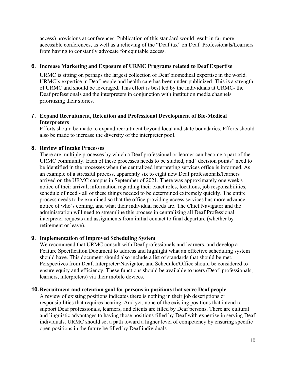access) provisions at conferences. Publication of this standard would result in far more accessible conferences, as well as a relieving of the "Deaf tax" on Deaf Professionals/Learners from having to constantly advocate for equitable access.

#### **6. Increase Marketing and Exposure of URMC Programs related to Deaf Expertise**

URMC is sitting on perhaps the largest collection of Deaf biomedical expertise in the world. URMC's expertise in Deaf people and health care has been under-publicized. This is a strength of URMC and should be leveraged. This effort is best led by the individuals at URMC- the Deaf professionals and the interpreters in conjunction with institution media channels prioritizing their stories.

#### **7. Expand Recruitment, Retention and Professional Development of Bio-Medical Interpreters**

Efforts should be made to expand recruitment beyond local and state boundaries. Efforts should also be made to increase the diversity of the interpreter pool.

#### **8. Review of Intake Processes**

There are multiple processes by which a Deaf professional or learner can become a part of the URMC community. Each of these processes needs to be studied, and "decision points" need to be identified in the processes when the centralized interpreting services office is informed. As an example of a stressful process, apparently six to eight new Deaf professionals/learners arrived on the URMC campus in September of 2021. There was approximately one week's notice of their arrival; information regarding their exact roles, locations, job responsibilities, schedule of need - all of these things needed to be determined extremely quickly. The entire process needs to be examined so that the office providing access services has more advance notice of who's coming, and what their individual needs are. The Chief Navigator and the administration will need to streamline this process in centralizing all Deaf Professional interpreter requests and assignments from initial contact to final departure (whether by retirement or leave).

#### **9. Implementation of Improved Scheduling System**

We recommend that URMC consult with Deaf professionals and learners, and develop a Feature Specification Document to address and highlight what an effective scheduling system should have. This document should also include a list of standards that should be met. Perspectives from Deaf, Interpreter/Navigator, and Scheduler/Office should be considered to ensure equity and efficiency. These functions should be available to users (Deaf professionals, learners, interpreters) via their mobile devices.

#### **10.Recruitment and retention goal for persons in positions that serve Deaf people**

A review of existing positions indicates there is nothing in their job descriptions or responsibilities that requires hearing. And yet, none of the existing positions that intend to support Deaf professionals, learners, and clients are filled by Deaf persons. There are cultural and linguistic advantages to having those positions filled by Deaf with expertise in serving Deaf individuals. URMC should set a path toward a higher level of competency by ensuring specific open positions in the future be filled by Deaf individuals.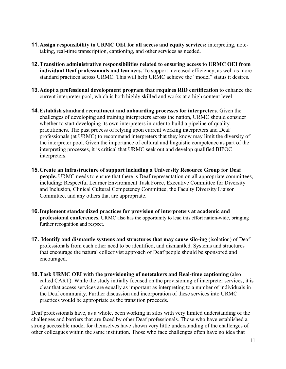- **11.Assign responsibility to URMC OEI for all access and equity services:** interpreting, notetaking, real-time transcription, captioning, and other services as needed.
- **12.Transition administrative responsibilities related to ensuring access to URMC OEI from individual Deaf professionals and learners.** To support increased efficiency, as well as more standard practices across URMC. This will help URMC achieve the "model" status it desires.
- **13.Adopt a professional development program that requires RID certification** to enhance the current interpreter pool, which is both highly skilled and works at a high content level.
- **14.Establish standard recruitment and onboarding processes for interpreters**. Given the challenges of developing and training interpreters across the nation, URMC should consider whether to start developing its own interpreters in order to build a pipeline of quality practitioners. The past process of relying upon current working interpreters and Deaf professionals (at URMC) to recommend interpreters that they know may limit the diversity of the interpreter pool. Given the importance of cultural and linguistic competence as part of the interpreting processes, it is critical that URMC seek out and develop qualified BIPOC interpreters.
- **15.Create an infrastructure of support including a University Resource Group for Deaf people.** URMC needs to ensure that there is Deaf representation on all appropriate committees, including: Respectful Learner Environment Task Force, Executive Committee for Diversity and Inclusion, Clinical Cultural Competency Committee, the Faculty Diversity Liaison Committee, and any others that are appropriate.
- **16.Implement standardized practices for provision of interpreters at academic and professional conferences.** URMC also has the opportunity to lead this effort nation-wide, bringing further recognition and respect.
- **17. Identify and dismantle systems and structures that may cause silo-ing** (isolation) of Deaf professionals from each other need to be identified, and dismantled. Systems and structures that encourage the natural collectivist approach of Deaf people should be sponsored and encouraged.
- **18.Task URMC OEI with the provisioning of notetakers and Real-time captioning** (also called CART). While the study initially focused on the provisioning of interpreter services, it is clear that access services are equally as important as interpreting to a number of individuals in the Deaf community. Further discussion and incorporation of these services into URMC practices would be appropriate as the transition proceeds.

Deaf professionals have, as a whole, been working in silos with very limited understanding of the challenges and barriers that are faced by other Deaf professionals. Those who have established a strong accessible model for themselves have shown very little understanding of the challenges of other colleagues within the same institution. Those who face challenges often have no idea that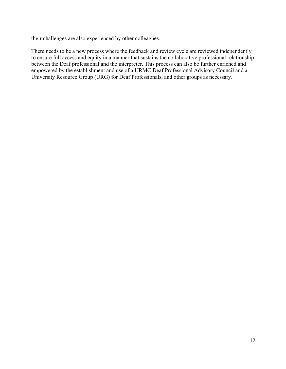their challenges are also experienced by other colleagues.

There needs to be a new process where the feedback and review cycle are reviewed independently to ensure full access and equity in a manner that sustains the collaborative professional relationship between the Deaf professional and the interpreter. This process can also be further enriched and empowered by the establishment and use of a URMC Deaf Professional Advisory Council and a University Resource Group (URG) for Deaf Professionals, and other groups as necessary.